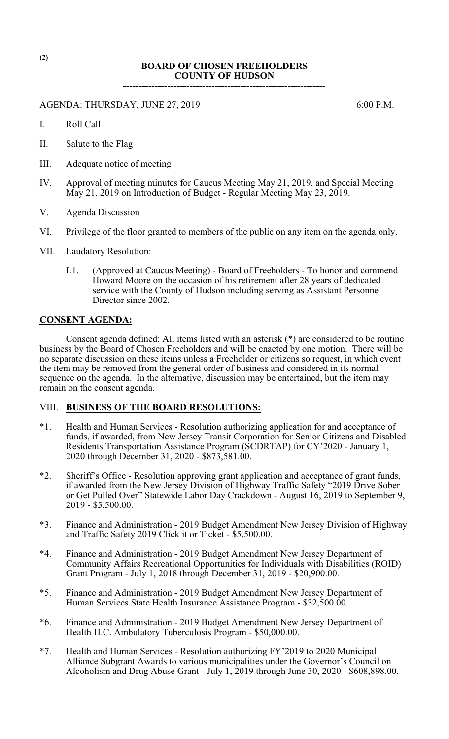## **BOARD OF CHOSEN FREEHOLDERS COUNTY OF HUDSON**

**----------------------------------------------------------------**

AGENDA: THURSDAY, JUNE 27, 2019 6:00 P.M.

- I. Roll Call
- II. Salute to the Flag
- III. Adequate notice of meeting
- IV. Approval of meeting minutes for Caucus Meeting May 21, 2019, and Special Meeting May 21, 2019 on Introduction of Budget - Regular Meeting May 23, 2019.
- V. Agenda Discussion
- VI. Privilege of the floor granted to members of the public on any item on the agenda only.
- VII. Laudatory Resolution:
	- L1. (Approved at Caucus Meeting) Board of Freeholders To honor and commend Howard Moore on the occasion of his retirement after 28 years of dedicated service with the County of Hudson including serving as Assistant Personnel Director since 2002.

### **CONSENT AGENDA:**

Consent agenda defined: All items listed with an asterisk (\*) are considered to be routine business by the Board of Chosen Freeholders and will be enacted by one motion. There will be no separate discussion on these items unless a Freeholder or citizens so request, in which event the item may be removed from the general order of business and considered in its normal sequence on the agenda. In the alternative, discussion may be entertained, but the item may remain on the consent agenda.

## VIII. **BUSINESS OF THE BOARD RESOLUTIONS:**

- \*1. Health and Human Services Resolution authorizing application for and acceptance of funds, if awarded, from New Jersey Transit Corporation for Senior Citizens and Disabled Residents Transportation Assistance Program (SCDRTAP) for CY'2020 - January 1, 2020 through December 31, 2020 - \$873,581.00.
- \*2. Sheriff's Office Resolution approving grant application and acceptance of grant funds, if awarded from the New Jersey Division of Highway Traffic Safety "2019 Drive Sober or Get Pulled Over" Statewide Labor Day Crackdown - August 16, 2019 to September 9, 2019 - \$5,500.00.
- \*3. Finance and Administration 2019 Budget Amendment New Jersey Division of Highway and Traffic Safety 2019 Click it or Ticket - \$5,500.00.
- \*4. Finance and Administration 2019 Budget Amendment New Jersey Department of Community Affairs Recreational Opportunities for Individuals with Disabilities (ROID) Grant Program - July 1, 2018 through December 31, 2019 - \$20,900.00.
- \*5. Finance and Administration 2019 Budget Amendment New Jersey Department of Human Services State Health Insurance Assistance Program - \$32,500.00.
- \*6. Finance and Administration 2019 Budget Amendment New Jersey Department of Health H.C. Ambulatory Tuberculosis Program - \$50,000.00.
- \*7. Health and Human Services Resolution authorizing FY'2019 to 2020 Municipal Alliance Subgrant Awards to various municipalities under the Governor's Council on Alcoholism and Drug Abuse Grant - July 1, 2019 through June 30, 2020 - \$608,898.00.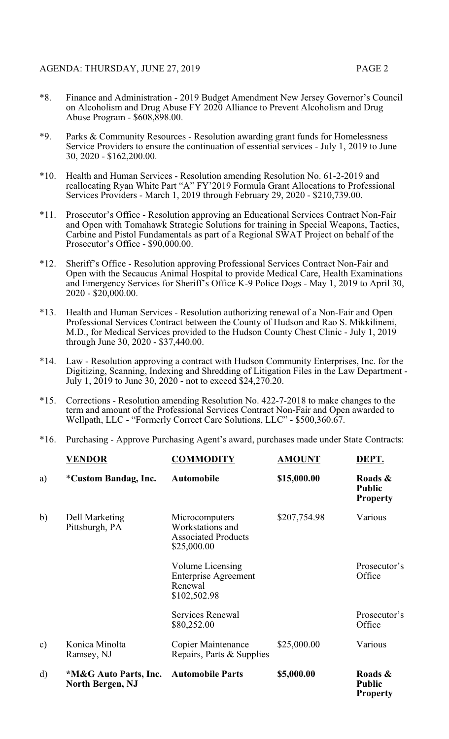- 
- \*8. Finance and Administration 2019 Budget Amendment New Jersey Governor's Council on Alcoholism and Drug Abuse FY 2020 Alliance to Prevent Alcoholism and Drug Abuse Program - \$608,898.00.
- \*9. Parks & Community Resources Resolution awarding grant funds for Homelessness Service Providers to ensure the continuation of essential services - July 1, 2019 to June 30, 2020 - \$162,200.00.
- \*10. Health and Human Services Resolution amending Resolution No. 61-2-2019 and reallocating Ryan White Part "A" FY'2019 Formula Grant Allocations to Professional Services Providers - March 1, 2019 through February 29, 2020 - \$210,739.00.
- \*11. Prosecutor's Office Resolution approving an Educational Services Contract Non-Fair and Open with Tomahawk Strategic Solutions for training in Special Weapons, Tactics, Carbine and Pistol Fundamentals as part of a Regional SWAT Project on behalf of the Prosecutor's Office - \$90,000.00.
- \*12. Sheriff's Office Resolution approving Professional Services Contract Non-Fair and Open with the Secaucus Animal Hospital to provide Medical Care, Health Examinations and Emergency Services for Sheriff's Office K-9 Police Dogs - May 1, 2019 to April 30, 2020 - \$20,000.00.
- \*13. Health and Human Services Resolution authorizing renewal of a Non-Fair and Open Professional Services Contract between the County of Hudson and Rao S. Mikkilineni, M.D., for Medical Services provided to the Hudson County Chest Clinic - July 1, 2019 through June 30, 2020 - \$37,440.00.
- \*14. Law Resolution approving a contract with Hudson Community Enterprises, Inc. for the Digitizing, Scanning, Indexing and Shredding of Litigation Files in the Law Department - July 1, 2019 to June 30, 2020 - not to exceed \$24,270.20.
- \*15. Corrections Resolution amending Resolution No. 422-7-2018 to make changes to the term and amount of the Professional Services Contract Non-Fair and Open awarded to Wellpath, LLC - "Formerly Correct Care Solutions, LLC" - \$500,360.67.
- \*16. Purchasing Approve Purchasing Agent's award, purchases made under State Contracts:

|               | VENDOR                                           | <b>COMMODITY</b>                                                                | <b>AMOUNT</b> | DEPT.                                       |
|---------------|--------------------------------------------------|---------------------------------------------------------------------------------|---------------|---------------------------------------------|
| a)            | <i>*Custom Bandag, Inc.</i>                      | <b>Automobile</b>                                                               | \$15,000.00   | Roads &<br><b>Public</b><br><b>Property</b> |
| b)            | Dell Marketing<br>Pittsburgh, PA                 | Microcomputers<br>Workstations and<br><b>Associated Products</b><br>\$25,000.00 | \$207,754.98  | Various                                     |
|               |                                                  | Volume Licensing<br><b>Enterprise Agreement</b><br>Renewal<br>\$102,502.98      |               | Prosecutor's<br>Office                      |
|               |                                                  | Services Renewal<br>\$80,252.00                                                 |               | Prosecutor's<br>Office                      |
| $\mathbf{c})$ | Konica Minolta<br>Ramsey, NJ                     | <b>Copier Maintenance</b><br>Repairs, Parts & Supplies                          | \$25,000.00   | Various                                     |
| $\rm d)$      | *M&G Auto Parts, Inc.<br><b>North Bergen, NJ</b> | <b>Automobile Parts</b>                                                         | \$5,000.00    | Roads &<br><b>Public</b><br><b>Property</b> |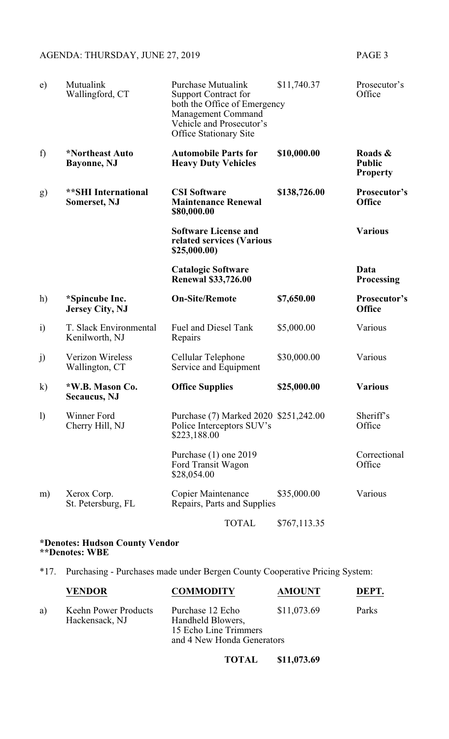# AGENDA: THURSDAY, JUNE 27, 2019 PAGE 3

| e)               | Mutualink<br>Wallingford, CT                      | <b>Purchase Mutualink</b><br><b>Support Contract for</b><br>both the Office of Emergency<br><b>Management Command</b><br>Vehicle and Prosecutor's<br><b>Office Stationary Site</b> | \$11,740.37  | Prosecutor's<br>Office                      |
|------------------|---------------------------------------------------|------------------------------------------------------------------------------------------------------------------------------------------------------------------------------------|--------------|---------------------------------------------|
| f)               | *Northeast Auto<br>Bayonne, NJ                    | <b>Automobile Parts for</b><br><b>Heavy Duty Vehicles</b>                                                                                                                          | \$10,000.00  | Roads &<br><b>Public</b><br><b>Property</b> |
| g)               | <b>**SHI</b> International<br><b>Somerset, NJ</b> | <b>CSI Software</b><br><b>Maintenance Renewal</b><br>\$80,000.00                                                                                                                   | \$138,726.00 | Prosecutor's<br><b>Office</b>               |
|                  |                                                   | <b>Software License and</b><br>related services (Various<br>\$25,000.00)                                                                                                           |              | <b>Various</b>                              |
|                  |                                                   | <b>Catalogic Software</b><br><b>Renewal \$33,726.00</b>                                                                                                                            |              | Data<br><b>Processing</b>                   |
| h)               | *Spincube Inc.<br><b>Jersey City, NJ</b>          | <b>On-Site/Remote</b>                                                                                                                                                              | \$7,650.00   | Prosecutor's<br><b>Office</b>               |
| $\ddot{1}$       | T. Slack Environmental<br>Kenilworth, NJ          | <b>Fuel and Diesel Tank</b><br>Repairs                                                                                                                                             | \$5,000.00   | Various                                     |
| j)               | <b>Verizon Wireless</b><br>Wallington, CT         | Cellular Telephone<br>Service and Equipment                                                                                                                                        | \$30,000.00  | Various                                     |
| $\bf k)$         | *W.B. Mason Co.<br><b>Secaucus</b> , NJ           | <b>Office Supplies</b>                                                                                                                                                             | \$25,000.00  | <b>Various</b>                              |
| $\left( \right)$ | Winner Ford<br>Cherry Hill, NJ                    | Purchase (7) Marked 2020 \$251,242.00<br>Police Interceptors SUV's<br>\$223,188.00                                                                                                 |              | Sheriff's<br>Office                         |
|                  |                                                   | Purchase (1) one 2019<br>Ford Transit Wagon<br>\$28,054.00                                                                                                                         |              | Correctional<br>Office                      |
| m)               | Xerox Corp.<br>St. Petersburg, FL                 | <b>Copier Maintenance</b><br>Repairs, Parts and Supplies                                                                                                                           | \$35,000.00  | Various                                     |
|                  |                                                   | <b>TOTAL</b>                                                                                                                                                                       | \$767,113.35 |                                             |

#### **\*Denotes: Hudson County Vendor \*\*Denotes: WBE**

\*17. Purchasing - Purchases made under Bergen County Cooperative Pricing System:

|    | VENDOR                                 | <b>COMMODITY</b>                                                                             | <b>AMOUNT</b> | DEPT. |
|----|----------------------------------------|----------------------------------------------------------------------------------------------|---------------|-------|
| a) | Keehn Power Products<br>Hackensack, NJ | Purchase 12 Echo<br>Handheld Blowers,<br>15 Echo Line Trimmers<br>and 4 New Honda Generators | \$11,073.69   | Parks |
|    |                                        |                                                                                              |               |       |

**TOTAL \$11,073.69**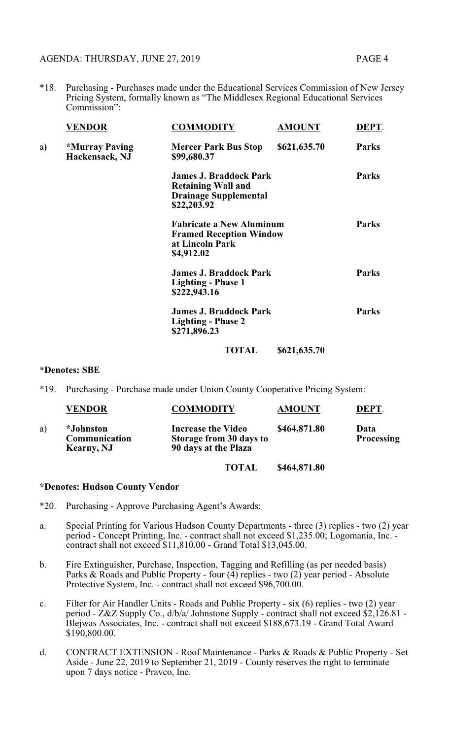\*18. Purchasing - Purchases made under the Educational Services Commission of New Jersey Pricing System, formally known as "The Middlesex Regional Educational Services Commission":

|    | <b>VENDOR</b>                                  | <b>COMMODITY</b>                                                                                          | <b>AMOUNT</b> | DEPT.        |
|----|------------------------------------------------|-----------------------------------------------------------------------------------------------------------|---------------|--------------|
| a) | <i><b>*Murray Paving</b></i><br>Hackensack, NJ | <b>Mercer Park Bus Stop</b><br>\$99,680.37                                                                | \$621,635.70  | <b>Parks</b> |
|    |                                                | <b>James J. Braddock Park</b><br><b>Retaining Wall and</b><br><b>Drainage Supplemental</b><br>\$22,203.92 |               | <b>Parks</b> |
|    |                                                | <b>Fabricate a New Aluminum</b><br><b>Framed Reception Window</b><br>at Lincoln Park<br>\$4,912.02        |               | <b>Parks</b> |
|    |                                                | <b>James J. Braddock Park</b><br><b>Lighting - Phase 1</b><br>\$222,943.16                                |               | <b>Parks</b> |
|    |                                                | <b>James J. Braddock Park</b><br><b>Lighting - Phase 2</b><br>\$271,896.23                                |               | <b>Parks</b> |
|    |                                                | <b>TOTAL</b>                                                                                              | \$621,635.70  |              |

#### **\*Denotes: SBE**

\*19. Purchasing - Purchase made under Union County Cooperative Pricing System:

|    | <b>VENDOR</b>                                          | <b>COMMODITY</b>                                                             | <b>AMOUNT</b> | DEPT.                     |
|----|--------------------------------------------------------|------------------------------------------------------------------------------|---------------|---------------------------|
| a) | <i>*Johnston</i><br>Communication<br><b>Kearny, NJ</b> | <b>Increase the Video</b><br>Storage from 30 days to<br>90 days at the Plaza | \$464,871.80  | Data<br><b>Processing</b> |

**TOTAL \$464,871.80**

#### **\*Denotes: Hudson County Vendor**

- \*20. Purchasing Approve Purchasing Agent's Awards:
- a. Special Printing for Various Hudson County Departments three (3) replies two (2) year period - Concept Printing, Inc. - contract shall not exceed \$1,235.00; Logomania, Inc. contract shall not exceed \$11,810.00 - Grand Total \$13,045.00.
- b. Fire Extinguisher, Purchase, Inspection, Tagging and Refilling (as per needed basis) Parks & Roads and Public Property - four (4) replies - two (2) year period - Absolute Protective System, Inc. - contract shall not exceed \$96,700.00.
- c. Filter for Air Handler Units Roads and Public Property six (6) replies two (2) year period - Z&Z Supply Co., d/b/a/ Johnstone Supply - contract shall not exceed \$2,126.81 - Blejwas Associates, Inc. - contract shall not exceed \$188,673.19 - Grand Total Award \$190,800.00.
- d. CONTRACT EXTENSION Roof Maintenance Parks & Roads & Public Property Set Aside - June 22, 2019 to September 21, 2019 - County reserves the right to terminate upon 7 days notice - Pravco, Inc.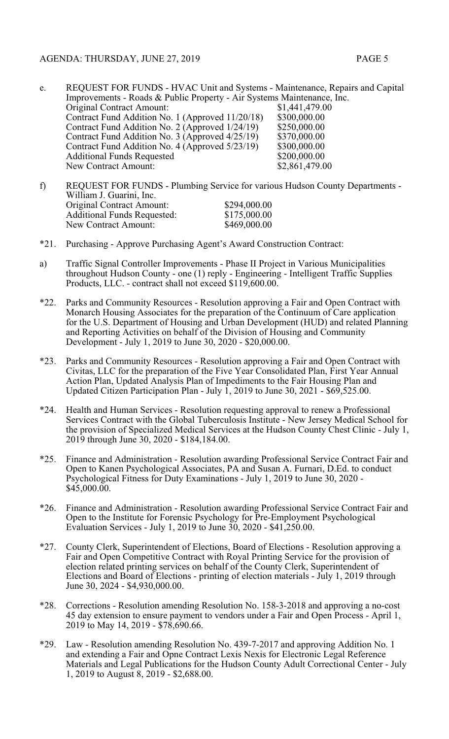| e. | REQUEST FOR FUNDS - HVAC Unit and Systems - Maintenance, Repairs and Capital |                |  |
|----|------------------------------------------------------------------------------|----------------|--|
|    | Improvements - Roads & Public Property - Air Systems Maintenance, Inc.       |                |  |
|    | <b>Original Contract Amount:</b>                                             | \$1,441,479.00 |  |
|    | Contract Fund Addition No. 1 (Approved 11/20/18)                             | \$300,000.00   |  |
|    | Contract Fund Addition No. 2 (Approved 1/24/19)                              | \$250,000.00   |  |
|    | Contract Fund Addition No. 3 (Approved 4/25/19)                              | \$370,000.00   |  |
|    | Contract Fund Addition No. 4 (Approved 5/23/19)                              | \$300,000.00   |  |
|    | <b>Additional Funds Requested</b>                                            | \$200,000.00   |  |
|    | <b>New Contract Amount:</b>                                                  | \$2,861,479.00 |  |
|    |                                                                              |                |  |

- f) REQUEST FOR FUNDS Plumbing Service for various Hudson County Departments William J. Guarini, Inc. Original Contract Amount: \$294,000.00<br>Additional Funds Requested: \$175,000.00 Additional Funds Requested: \$175,000.00<br>New Contract Amount: \$469,000.00 New Contract Amount:
- \*21. Purchasing Approve Purchasing Agent's Award Construction Contract:
- a) Traffic Signal Controller Improvements Phase II Project in Various Municipalities throughout Hudson County - one (1) reply - Engineering - Intelligent Traffic Supplies Products, LLC. - contract shall not exceed \$119,600.00.
- \*22. Parks and Community Resources Resolution approving a Fair and Open Contract with Monarch Housing Associates for the preparation of the Continuum of Care application for the U.S. Department of Housing and Urban Development (HUD) and related Planning and Reporting Activities on behalf of the Division of Housing and Community Development - July 1, 2019 to June 30, 2020 - \$20,000.00.
- \*23. Parks and Community Resources Resolution approving a Fair and Open Contract with Civitas, LLC for the preparation of the Five Year Consolidated Plan, First Year Annual Action Plan, Updated Analysis Plan of Impediments to the Fair Housing Plan and Updated Citizen Participation Plan - July  $\hat{1}$ , 2019 to June 30, 2021 - \$69,525.00.
- \*24. Health and Human Services Resolution requesting approval to renew a Professional Services Contract with the Global Tuberculosis Institute - New Jersey Medical School for the provision of Specialized Medical Services at the Hudson County Chest Clinic - July 1, 2019 through June 30, 2020 - \$184,184.00.
- \*25. Finance and Administration Resolution awarding Professional Service Contract Fair and Open to Kanen Psychological Associates, PA and Susan A. Furnari, D.Ed. to conduct Psychological Fitness for Duty Examinations - July 1, 2019 to June 30, 2020 - \$45,000.00.
- \*26. Finance and Administration Resolution awarding Professional Service Contract Fair and Open to the Institute for Forensic Psychology for Pre-Employment Psychological Evaluation Services - July 1, 2019 to June 30, 2020 - \$41,250.00.
- \*27. County Clerk, Superintendent of Elections, Board of Elections Resolution approving a Fair and Open Competitive Contract with Royal Printing Service for the provision of election related printing services on behalf of the County Clerk, Superintendent of Elections and Board of Elections - printing of election materials - July 1, 2019 through June 30, 2024 - \$4,930,000.00.
- \*28. Corrections Resolution amending Resolution No. 158-3-2018 and approving a no-cost 45 day extension to ensure payment to vendors under a Fair and Open Process - April 1, 2019 to May 14, 2019 - \$78,690.66.
- \*29. Law Resolution amending Resolution No. 439-7-2017 and approving Addition No. 1 and extending a Fair and Opne Contract Lexis Nexis for Electronic Legal Reference Materials and Legal Publications for the Hudson County Adult Correctional Center - July 1, 2019 to August 8, 2019 - \$2,688.00.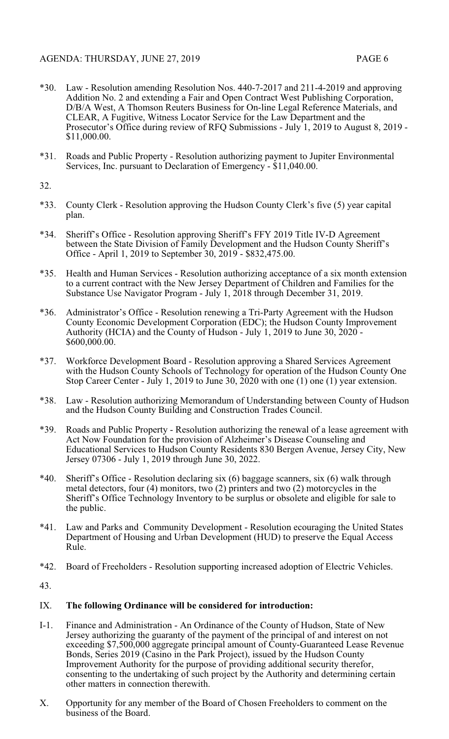- \*30. Law Resolution amending Resolution Nos. 440-7-2017 and 211-4-2019 and approving Addition No. 2 and extending a Fair and Open Contract West Publishing Corporation, D/B/A West, A Thomson Reuters Business for On-line Legal Reference Materials, and CLEAR, A Fugitive, Witness Locator Service for the Law Department and the Prosecutor's Office during review of RFQ Submissions - July 1, 2019 to August 8, 2019 - \$11,000.00.
- \*31. Roads and Public Property Resolution authorizing payment to Jupiter Environmental Services, Inc. pursuant to Declaration of Emergency - \$11,040.00.

32.

- \*33. County Clerk Resolution approving the Hudson County Clerk's five (5) year capital plan.
- \*34. Sheriff's Office Resolution approving Sheriff's FFY 2019 Title IV-D Agreement between the State Division of Family Development and the Hudson County Sheriff's Office - April 1, 2019 to September 30, 2019 - \$832,475.00.
- \*35. Health and Human Services Resolution authorizing acceptance of a six month extension to a current contract with the New Jersey Department of Children and Families for the Substance Use Navigator Program - July 1, 2018 through December 31, 2019.
- \*36. Administrator's Office Resolution renewing a Tri-Party Agreement with the Hudson County Economic Development Corporation (EDC); the Hudson County Improvement Authority (HCIA) and the County of Hudson - July 1, 2019 to June 30, 2020 - \$600,000.00.
- \*37. Workforce Development Board Resolution approving a Shared Services Agreement with the Hudson County Schools of Technology for operation of the Hudson County One Stop Career Center - July 1, 2019 to June 30, 2020 with one (1) one (1) year extension.
- \*38. Law Resolution authorizing Memorandum of Understanding between County of Hudson and the Hudson County Building and Construction Trades Council.
- \*39. Roads and Public Property Resolution authorizing the renewal of a lease agreement with Act Now Foundation for the provision of Alzheimer's Disease Counseling and Educational Services to Hudson County Residents 830 Bergen Avenue, Jersey City, New Jersey 07306 - July 1, 2019 through June 30, 2022.
- \*40. Sheriff's Office Resolution declaring six (6) baggage scanners, six (6) walk through metal detectors, four (4) monitors, two (2) printers and two (2) motorcycles in the Sheriff's Office Technology Inventory to be surplus or obsolete and eligible for sale to the public.
- \*41. Law and Parks and Community Development Resolution ecouraging the United States Department of Housing and Urban Development (HUD) to preserve the Equal Access Rule.
- \*42. Board of Freeholders Resolution supporting increased adoption of Electric Vehicles.
- 43.

## IX. **The following Ordinance will be considered for introduction:**

- I-1. Finance and Administration An Ordinance of the County of Hudson, State of New Jersey authorizing the guaranty of the payment of the principal of and interest on not exceeding \$7,500,000 aggregate principal amount of County-Guaranteed Lease Revenue Bonds, Series 2019 (Casino in the Park Project), issued by the Hudson County Improvement Authority for the purpose of providing additional security therefor, consenting to the undertaking of such project by the Authority and determining certain other matters in connection therewith.
- X. Opportunity for any member of the Board of Chosen Freeholders to comment on the business of the Board.